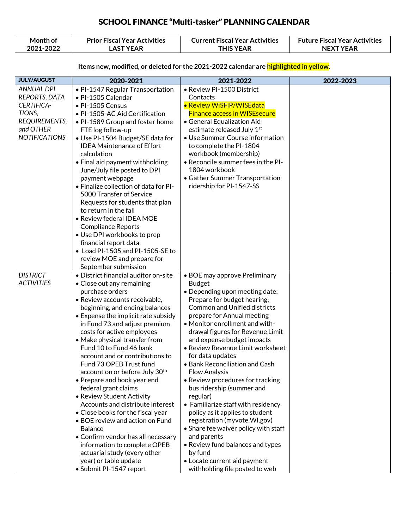| Month of  | <b>Prior Fiscal Year Activities</b> | <b>Current Fiscal Year Activities</b> | <b>Future Fiscal Year Activities</b> |
|-----------|-------------------------------------|---------------------------------------|--------------------------------------|
| 2021-2022 | _AST YEAR                           | 'HIS YEAR                             | <b>NEXT YEAR</b>                     |

#### Items new, modified, or deleted for the 2021-2022 calendar are highlighted in yellow.

| <b>JULY/AUGUST</b>   | 2020-2021                                        | 2021-2022                                                     | 2022-2023 |
|----------------------|--------------------------------------------------|---------------------------------------------------------------|-----------|
| <b>ANNUAL DPI</b>    | • PI-1547 Regular Transportation                 | · Review PI-1500 District                                     |           |
| REPORTS, DATA        | • PI-1505 Calendar                               | Contacts                                                      |           |
| <b>CERTIFICA-</b>    | · PI-1505 Census                                 | • Review WiSFiP/WISEdata                                      |           |
| TIONS,               | • PI-1505-AC Aid Certification                   | <b>Finance access in WISE secure</b>                          |           |
| REQUIREMENTS,        | • PI-1589 Group and foster home                  | • General Equalization Aid                                    |           |
| and OTHER            | FTE log follow-up                                | estimate released July 1st                                    |           |
| <b>NOTIFICATIONS</b> | • Use PI-1504 Budget/SE data for                 | • Use Summer Course information                               |           |
|                      | <b>IDEA Maintenance of Effort</b>                | to complete the PI-1804                                       |           |
|                      | calculation                                      | workbook (membership)                                         |           |
|                      | • Final aid payment withholding                  | • Reconcile summer fees in the PI-                            |           |
|                      | June/July file posted to DPI                     | 1804 workbook                                                 |           |
|                      | payment webpage                                  | • Gather Summer Transportation                                |           |
|                      | . Finalize collection of data for PI-            | ridership for PI-1547-SS                                      |           |
|                      | 5000 Transfer of Service                         |                                                               |           |
|                      | Requests for students that plan                  |                                                               |           |
|                      | to return in the fall                            |                                                               |           |
|                      | · Review federal IDEA MOE                        |                                                               |           |
|                      | <b>Compliance Reports</b>                        |                                                               |           |
|                      | • Use DPI workbooks to prep                      |                                                               |           |
|                      | financial report data                            |                                                               |           |
|                      | • Load PI-1505 and PI-1505-SE to                 |                                                               |           |
|                      | review MOE and prepare for                       |                                                               |           |
|                      | September submission                             |                                                               |           |
| <b>DISTRICT</b>      | · District financial auditor on-site             | • BOE may approve Preliminary                                 |           |
| <b>ACTIVITIES</b>    | • Close out any remaining                        | <b>Budget</b>                                                 |           |
|                      | purchase orders<br>· Review accounts receivable, | • Depending upon meeting date:<br>Prepare for budget hearing; |           |
|                      | beginning, and ending balances                   | Common and Unified districts                                  |           |
|                      | • Expense the implicit rate subsidy              | prepare for Annual meeting                                    |           |
|                      | in Fund 73 and adjust premium                    | • Monitor enrollment and with-                                |           |
|                      | costs for active employees                       | drawal figures for Revenue Limit                              |           |
|                      | • Make physical transfer from                    | and expense budget impacts                                    |           |
|                      | Fund 10 to Fund 46 bank                          | · Review Revenue Limit worksheet                              |           |
|                      | account and or contributions to                  | for data updates                                              |           |
|                      | Fund 73 OPEB Trust fund                          | • Bank Reconciliation and Cash                                |           |
|                      | account on or before July 30th                   | <b>Flow Analysis</b>                                          |           |
|                      | • Prepare and book year end                      | • Review procedures for tracking                              |           |
|                      | federal grant claims                             | bus ridership (summer and                                     |           |
|                      | • Review Student Activity                        | regular)                                                      |           |
|                      | Accounts and distribute interest                 | • Familiarize staff with residency                            |           |
|                      | • Close books for the fiscal year                | policy as it applies to student                               |           |
|                      | · BOE review and action on Fund                  | registration (myvote. WI.gov)                                 |           |
|                      | <b>Balance</b>                                   | • Share fee waiver policy with staff                          |           |
|                      | • Confirm vendor has all necessary               | and parents                                                   |           |
|                      | information to complete OPEB                     | • Review fund balances and types                              |           |
|                      | actuarial study (every other                     | by fund                                                       |           |
|                      | year) or table update                            | • Locate current aid payment                                  |           |
|                      | • Submit PI-1547 report                          | withholding file posted to web                                |           |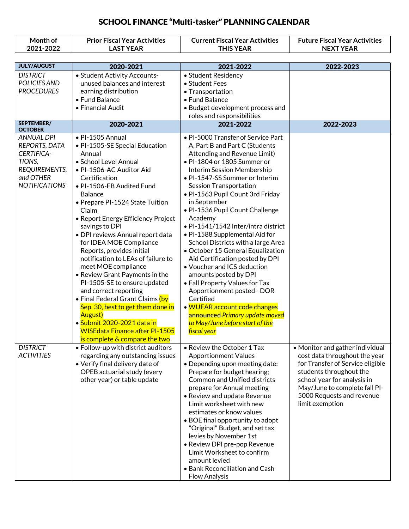| Month of<br>2021-2022                                                                                                   | <b>Prior Fiscal Year Activities</b><br><b>LAST YEAR</b>                                                                                                                                                                                                                                                                                                                                                                                                                                                                                                                                                                                                                                                      | <b>Current Fiscal Year Activities</b><br><b>THIS YEAR</b>                                                                                                                                                                                                                                                                                                                                                                                                                                                                                                                                                                                                                                                                                                                       | <b>Future Fiscal Year Activities</b><br><b>NEXT YEAR</b>                                                                                                                                                                                        |
|-------------------------------------------------------------------------------------------------------------------------|--------------------------------------------------------------------------------------------------------------------------------------------------------------------------------------------------------------------------------------------------------------------------------------------------------------------------------------------------------------------------------------------------------------------------------------------------------------------------------------------------------------------------------------------------------------------------------------------------------------------------------------------------------------------------------------------------------------|---------------------------------------------------------------------------------------------------------------------------------------------------------------------------------------------------------------------------------------------------------------------------------------------------------------------------------------------------------------------------------------------------------------------------------------------------------------------------------------------------------------------------------------------------------------------------------------------------------------------------------------------------------------------------------------------------------------------------------------------------------------------------------|-------------------------------------------------------------------------------------------------------------------------------------------------------------------------------------------------------------------------------------------------|
|                                                                                                                         |                                                                                                                                                                                                                                                                                                                                                                                                                                                                                                                                                                                                                                                                                                              |                                                                                                                                                                                                                                                                                                                                                                                                                                                                                                                                                                                                                                                                                                                                                                                 |                                                                                                                                                                                                                                                 |
| <b>JULY/AUGUST</b>                                                                                                      | 2020-2021                                                                                                                                                                                                                                                                                                                                                                                                                                                                                                                                                                                                                                                                                                    | 2021-2022                                                                                                                                                                                                                                                                                                                                                                                                                                                                                                                                                                                                                                                                                                                                                                       | 2022-2023                                                                                                                                                                                                                                       |
| <b>DISTRICT</b><br>POLICIES AND<br><b>PROCEDURES</b>                                                                    | • Student Activity Accounts-<br>unused balances and interest<br>earning distribution<br>• Fund Balance<br>• Financial Audit                                                                                                                                                                                                                                                                                                                                                                                                                                                                                                                                                                                  | • Student Residency<br>• Student Fees<br>• Transportation<br>• Fund Balance<br>• Budget development process and<br>roles and responsibilities                                                                                                                                                                                                                                                                                                                                                                                                                                                                                                                                                                                                                                   |                                                                                                                                                                                                                                                 |
| SEPTEMBER/<br><b>OCTOBER</b>                                                                                            | 2020-2021                                                                                                                                                                                                                                                                                                                                                                                                                                                                                                                                                                                                                                                                                                    | 2021-2022                                                                                                                                                                                                                                                                                                                                                                                                                                                                                                                                                                                                                                                                                                                                                                       | 2022-2023                                                                                                                                                                                                                                       |
| <b>ANNUAL DPI</b><br>REPORTS, DATA<br><b>CERTIFICA-</b><br>TIONS,<br>REQUIREMENTS,<br>and OTHER<br><b>NOTIFICATIONS</b> | · PI-1505 Annual<br>· PI-1505-SE Special Education<br>Annual<br>· School Level Annual<br>· PI-1506-AC Auditor Aid<br>Certification<br>· PI-1506-FB Audited Fund<br><b>Balance</b><br>• Prepare PI-1524 State Tuition<br>Claim<br>• Report Energy Efficiency Project<br>savings to DPI<br>· DPI reviews Annual report data<br>for IDEA MOE Compliance<br>Reports, provides initial<br>notification to LEAs of failure to<br>meet MOE compliance<br>• Review Grant Payments in the<br>PI-1505-SE to ensure updated<br>and correct reporting<br>• Final Federal Grant Claims (by<br>Sep. 30, best to get them done in<br><b>August</b> )<br>• Submit 2020-2021 data in<br><b>WISEdata Finance after PI-1505</b> | . PI-5000 Transfer of Service Part<br>A, Part B and Part C (Students<br>Attending and Revenue Limit)<br>• PI-1804 or 1805 Summer or<br>Interim Session Membership<br>• PI-1547-SS Summer or Interim<br>Session Transportation<br>. PI-1563 Pupil Count 3rd Friday<br>in September<br>· PI-1536 Pupil Count Challenge<br>Academy<br>· PI-1541/1542 Inter/intra district<br>. PI-1588 Supplemental Aid for<br>School Districts with a large Area<br>• October 15 General Equalization<br>Aid Certification posted by DPI<br>• Voucher and ICS deduction<br>amounts posted by DPI<br>• Fall Property Values for Tax<br>Apportionment posted - DOR<br>Certified<br>· WUFAR account code changes<br>announced Primary update moved<br>to May/June before start of the<br>fiscal year |                                                                                                                                                                                                                                                 |
| <b>DISTRICT</b><br><b>ACTIVITIES</b>                                                                                    | is complete & compare the two<br>• Follow-up with district auditors<br>regarding any outstanding issues<br>• Verify final delivery date of<br>OPEB actuarial study (every<br>other year) or table update                                                                                                                                                                                                                                                                                                                                                                                                                                                                                                     | • Review the October 1 Tax<br><b>Apportionment Values</b><br>• Depending upon meeting date:<br>Prepare for budget hearing;<br><b>Common and Unified districts</b><br>prepare for Annual meeting<br>• Review and update Revenue<br>Limit worksheet with new<br>estimates or know values<br>• BOE final opportunity to adopt<br>"Original" Budget, and set tax<br>levies by November 1st<br>• Review DPI pre-pop Revenue<br>Limit Worksheet to confirm<br>amount levied<br>• Bank Reconciliation and Cash<br><b>Flow Analysis</b>                                                                                                                                                                                                                                                 | • Monitor and gather individual<br>cost data throughout the year<br>for Transfer of Service eligible<br>students throughout the<br>school year for analysis in<br>May/June to complete fall PI-<br>5000 Requests and revenue<br>limit exemption |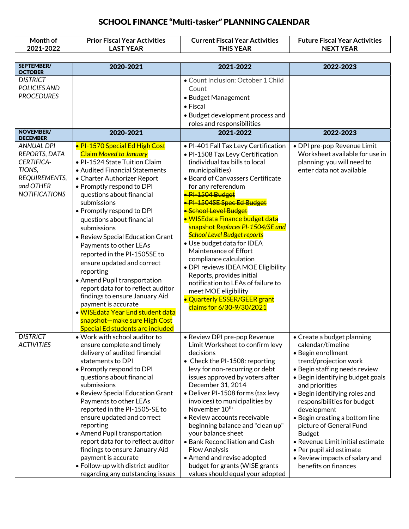| Month of<br>2021-2022                                                                                                   | <b>Prior Fiscal Year Activities</b><br><b>LAST YEAR</b>                                                                                                                                                                                                                                                                                                                                                                                                                                                                                                                                                                                                                                                    | <b>Current Fiscal Year Activities</b><br><b>THIS YEAR</b>                                                                                                                                                                                                                                                                                                                                                                                                                                                                                                                                                                                                     | <b>Future Fiscal Year Activities</b><br><b>NEXT YEAR</b>                                                                                                                                                                                                                                                                                                                                                                                                                     |
|-------------------------------------------------------------------------------------------------------------------------|------------------------------------------------------------------------------------------------------------------------------------------------------------------------------------------------------------------------------------------------------------------------------------------------------------------------------------------------------------------------------------------------------------------------------------------------------------------------------------------------------------------------------------------------------------------------------------------------------------------------------------------------------------------------------------------------------------|---------------------------------------------------------------------------------------------------------------------------------------------------------------------------------------------------------------------------------------------------------------------------------------------------------------------------------------------------------------------------------------------------------------------------------------------------------------------------------------------------------------------------------------------------------------------------------------------------------------------------------------------------------------|------------------------------------------------------------------------------------------------------------------------------------------------------------------------------------------------------------------------------------------------------------------------------------------------------------------------------------------------------------------------------------------------------------------------------------------------------------------------------|
|                                                                                                                         |                                                                                                                                                                                                                                                                                                                                                                                                                                                                                                                                                                                                                                                                                                            |                                                                                                                                                                                                                                                                                                                                                                                                                                                                                                                                                                                                                                                               |                                                                                                                                                                                                                                                                                                                                                                                                                                                                              |
| SEPTEMBER/                                                                                                              | 2020-2021                                                                                                                                                                                                                                                                                                                                                                                                                                                                                                                                                                                                                                                                                                  | 2021-2022                                                                                                                                                                                                                                                                                                                                                                                                                                                                                                                                                                                                                                                     | 2022-2023                                                                                                                                                                                                                                                                                                                                                                                                                                                                    |
| <b>OCTOBER</b><br><b>DISTRICT</b><br>POLICIES AND<br><b>PROCEDURES</b>                                                  |                                                                                                                                                                                                                                                                                                                                                                                                                                                                                                                                                                                                                                                                                                            | · Count Inclusion: October 1 Child<br>Count<br>• Budget Management<br>$\bullet$ Fiscal<br>• Budget development process and<br>roles and responsibilities                                                                                                                                                                                                                                                                                                                                                                                                                                                                                                      |                                                                                                                                                                                                                                                                                                                                                                                                                                                                              |
| <b>NOVEMBER/</b><br><b>DECEMBER</b>                                                                                     | 2020-2021                                                                                                                                                                                                                                                                                                                                                                                                                                                                                                                                                                                                                                                                                                  | 2021-2022                                                                                                                                                                                                                                                                                                                                                                                                                                                                                                                                                                                                                                                     | 2022-2023                                                                                                                                                                                                                                                                                                                                                                                                                                                                    |
| <b>ANNUAL DPI</b><br>REPORTS, DATA<br><b>CERTIFICA-</b><br>TIONS,<br>REQUIREMENTS,<br>and OTHER<br><b>NOTIFICATIONS</b> | · PI-1570 Special Ed High Cost<br><b>Claim Moved to January</b><br>• PI-1524 State Tuition Claim<br>• Audited Financial Statements<br>• Charter Authorizer Report<br>• Promptly respond to DPI<br>questions about financial<br>submissions<br>• Promptly respond to DPI<br>questions about financial<br>submissions<br>• Review Special Education Grant<br>Payments to other LEAs<br>reported in the PI-1505SE to<br>ensure updated and correct<br>reporting<br>• Amend Pupil transportation<br>report data for to reflect auditor<br>findings to ensure January Aid<br>payment is accurate<br>• WISEdata Year End student data<br>snapshot-make sure High Cost<br><b>Special Ed students are included</b> | · PI-401 Fall Tax Levy Certification<br>. PI-1508 Tax Levy Certification<br>(individual tax bills to local<br>municipalities)<br>• Board of Canvassers Certificate<br>for any referendum<br>· PI-1504 Budget<br>·PI-1504SE Spec Ed Budget<br>· School Level Budget<br>• WISEdata Finance budget data<br>snapshot Replaces PI-1504/SE and<br><b>School Level Budget reports</b><br>· Use budget data for IDEA<br>Maintenance of Effort<br>compliance calculation<br>• DPI reviews IDEA MOE Eligibility<br>Reports, provides initial<br>notification to LEAs of failure to<br>meet MOE eligibility<br>• Quarterly ESSER/GEER grant<br>claims for 6/30-9/30/2021 | · DPI pre-pop Revenue Limit<br>Worksheet available for use in<br>planning; you will need to<br>enter data not available                                                                                                                                                                                                                                                                                                                                                      |
| DISTRICT<br><b>ACTIVITIES</b>                                                                                           | • Work with school auditor to<br>ensure complete and timely<br>delivery of audited financial<br>statements to DPI<br>• Promptly respond to DPI<br>questions about financial<br>submissions<br>• Review Special Education Grant<br>Payments to other LEAs<br>reported in the PI-1505-SE to<br>ensure updated and correct<br>reporting<br>• Amend Pupil transportation<br>report data for to reflect auditor<br>findings to ensure January Aid<br>payment is accurate<br>• Follow-up with district auditor<br>regarding any outstanding issues                                                                                                                                                               | • Review DPI pre-pop Revenue<br>Limit Worksheet to confirm levy<br>decisions<br>• Check the PI-1508: reporting<br>levy for non-recurring or debt<br>issues approved by voters after<br>December 31, 2014<br>· Deliver PI-1508 forms (tax levy<br>invoices) to municipalities by<br>November 10 <sup>th</sup><br>• Review accounts receivable<br>beginning balance and "clean up"<br>your balance sheet<br>• Bank Reconciliation and Cash<br><b>Flow Analysis</b><br>• Amend and revise adopted<br>budget for grants (WISE grants<br>values should equal your adopted                                                                                          | • Create a budget planning<br>calendar/timeline<br>· Begin enrollment<br>trend/projection work<br>• Begin staffing needs review<br>• Begin identifying budget goals<br>and priorities<br>• Begin identifying roles and<br>responsibilities for budget<br>development<br>• Begin creating a bottom line<br>picture of General Fund<br><b>Budget</b><br>• Revenue Limit initial estimate<br>• Per pupil aid estimate<br>• Review impacts of salary and<br>benefits on finances |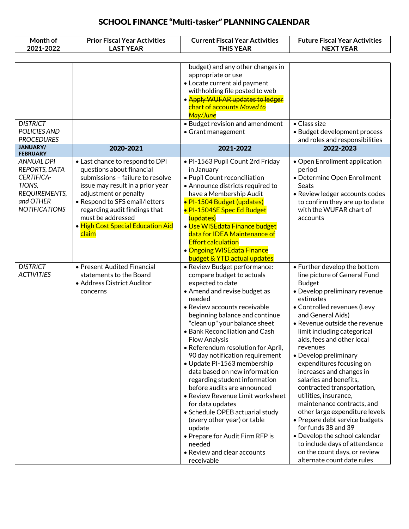| Month of<br>2021-2022                                                                                                   | <b>Prior Fiscal Year Activities</b><br><b>LAST YEAR</b>                                                                                                                                                                                                                                             | <b>Current Fiscal Year Activities</b><br><b>THIS YEAR</b>                                                                                                                                                                                                                                                                                                                                                                                                                                                                                                                                                                                                                                                                   | <b>Future Fiscal Year Activities</b><br><b>NEXT YEAR</b>                                                                                                                                                                                                                                                                                                                                                                                                                                                                                                                                                                                                                                                             |
|-------------------------------------------------------------------------------------------------------------------------|-----------------------------------------------------------------------------------------------------------------------------------------------------------------------------------------------------------------------------------------------------------------------------------------------------|-----------------------------------------------------------------------------------------------------------------------------------------------------------------------------------------------------------------------------------------------------------------------------------------------------------------------------------------------------------------------------------------------------------------------------------------------------------------------------------------------------------------------------------------------------------------------------------------------------------------------------------------------------------------------------------------------------------------------------|----------------------------------------------------------------------------------------------------------------------------------------------------------------------------------------------------------------------------------------------------------------------------------------------------------------------------------------------------------------------------------------------------------------------------------------------------------------------------------------------------------------------------------------------------------------------------------------------------------------------------------------------------------------------------------------------------------------------|
|                                                                                                                         |                                                                                                                                                                                                                                                                                                     |                                                                                                                                                                                                                                                                                                                                                                                                                                                                                                                                                                                                                                                                                                                             |                                                                                                                                                                                                                                                                                                                                                                                                                                                                                                                                                                                                                                                                                                                      |
| <b>DISTRICT</b><br>POLICIES AND                                                                                         |                                                                                                                                                                                                                                                                                                     | budget) and any other changes in<br>appropriate or use<br>• Locate current aid payment<br>withholding file posted to web<br>· Apply WUFAR updates to ledger<br><b>chart of accounts Moved to</b><br>May/June<br>• Budget revision and amendment                                                                                                                                                                                                                                                                                                                                                                                                                                                                             | $\bullet$ Class size                                                                                                                                                                                                                                                                                                                                                                                                                                                                                                                                                                                                                                                                                                 |
| <b>PROCEDURES</b>                                                                                                       |                                                                                                                                                                                                                                                                                                     | • Grant management                                                                                                                                                                                                                                                                                                                                                                                                                                                                                                                                                                                                                                                                                                          | • Budget development process<br>and roles and responsibilities                                                                                                                                                                                                                                                                                                                                                                                                                                                                                                                                                                                                                                                       |
| <b>JANUARY/</b><br><b>FEBRUARY</b>                                                                                      | 2020-2021                                                                                                                                                                                                                                                                                           | 2021-2022                                                                                                                                                                                                                                                                                                                                                                                                                                                                                                                                                                                                                                                                                                                   | 2022-2023                                                                                                                                                                                                                                                                                                                                                                                                                                                                                                                                                                                                                                                                                                            |
| <b>ANNUAL DPI</b><br>REPORTS, DATA<br><b>CERTIFICA-</b><br>TIONS,<br>REQUIREMENTS,<br>and OTHER<br><b>NOTIFICATIONS</b> | • Last chance to respond to DPI<br>questions about financial<br>submissions - failure to resolve<br>issue may result in a prior year<br>adjustment or penalty<br>• Respond to SFS email/letters<br>regarding audit findings that<br>must be addressed<br>· High Cost Special Education Aid<br>claim | · PI-1563 Pupil Count 2rd Friday<br>in January<br>· Pupil Count reconciliation<br>• Announce districts required to<br>have a Membership Audit<br>· PI-1504 Budget (updates)<br>· PI-1504SE Spec Ed Budget<br>(updates)<br>· Use WISEdata Finance budget<br>data for IDEA Maintenance of<br><b>Effort calculation</b><br>• Ongoing WISE data Finance<br>budget & YTD actual updates                                                                                                                                                                                                                                                                                                                                          | • Open Enrollment application<br>period<br>• Determine Open Enrollment<br>Seats<br>• Review ledger accounts codes<br>to confirm they are up to date<br>with the WUFAR chart of<br>accounts                                                                                                                                                                                                                                                                                                                                                                                                                                                                                                                           |
| <b>DISTRICT</b><br><b>ACTIVITIES</b>                                                                                    | • Present Audited Financial<br>statements to the Board<br>• Address District Auditor<br>concerns                                                                                                                                                                                                    | · Review Budget performance:<br>compare budget to actuals<br>expected to date<br>• Amend and revise budget as<br>needed<br>• Review accounts receivable<br>beginning balance and continue<br>"clean up" your balance sheet<br>• Bank Reconciliation and Cash<br><b>Flow Analysis</b><br>• Referendum resolution for April,<br>90 day notification requirement<br>• Update PI-1563 membership<br>data based on new information<br>regarding student information<br>before audits are announced<br>• Review Revenue Limit worksheet<br>for data updates<br>· Schedule OPEB actuarial study<br>(every other year) or table<br>update<br>• Prepare for Audit Firm RFP is<br>needed<br>• Review and clear accounts<br>receivable | • Further develop the bottom<br>line picture of General Fund<br><b>Budget</b><br>• Develop preliminary revenue<br>estimates<br>• Controlled revenues (Levy<br>and General Aids)<br>• Revenue outside the revenue<br>limit including categorical<br>aids, fees and other local<br>revenues<br>• Develop preliminary<br>expenditures focusing on<br>increases and changes in<br>salaries and benefits,<br>contracted transportation,<br>utilities, insurance,<br>maintenance contracts, and<br>other large expenditure levels<br>• Prepare debt service budgets<br>for funds 38 and 39<br>• Develop the school calendar<br>to include days of attendance<br>on the count days, or review<br>alternate count date rules |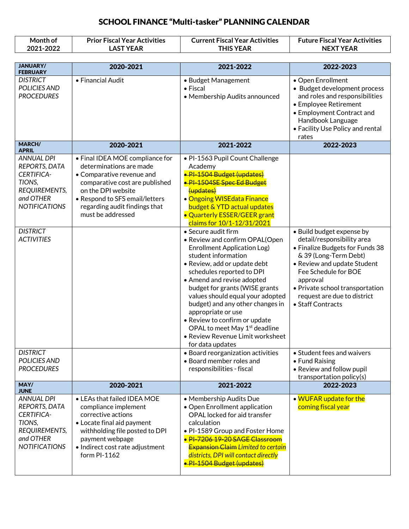| Month of<br>2021-2022                                                                                                                                    | <b>Prior Fiscal Year Activities</b><br><b>LAST YEAR</b>                                                                                                                                                                                 | <b>Current Fiscal Year Activities</b><br><b>THIS YEAR</b>                                                                                                                                                                                                                                                                                                                                                                                                                                                                                                                                                                                                                                                                                                | <b>Future Fiscal Year Activities</b><br><b>NEXT YEAR</b>                                                                                                                                                                                                                      |
|----------------------------------------------------------------------------------------------------------------------------------------------------------|-----------------------------------------------------------------------------------------------------------------------------------------------------------------------------------------------------------------------------------------|----------------------------------------------------------------------------------------------------------------------------------------------------------------------------------------------------------------------------------------------------------------------------------------------------------------------------------------------------------------------------------------------------------------------------------------------------------------------------------------------------------------------------------------------------------------------------------------------------------------------------------------------------------------------------------------------------------------------------------------------------------|-------------------------------------------------------------------------------------------------------------------------------------------------------------------------------------------------------------------------------------------------------------------------------|
| <b>JANUARY/</b>                                                                                                                                          |                                                                                                                                                                                                                                         |                                                                                                                                                                                                                                                                                                                                                                                                                                                                                                                                                                                                                                                                                                                                                          |                                                                                                                                                                                                                                                                               |
| <b>FEBRUARY</b>                                                                                                                                          | 2020-2021                                                                                                                                                                                                                               | 2021-2022                                                                                                                                                                                                                                                                                                                                                                                                                                                                                                                                                                                                                                                                                                                                                | 2022-2023                                                                                                                                                                                                                                                                     |
| <b>DISTRICT</b><br>POLICIES AND<br><b>PROCEDURES</b>                                                                                                     | • Financial Audit                                                                                                                                                                                                                       | • Budget Management<br>$\bullet$ Fiscal<br>• Membership Audits announced                                                                                                                                                                                                                                                                                                                                                                                                                                                                                                                                                                                                                                                                                 | • Open Enrollment<br>• Budget development process<br>and roles and responsibilities<br>• Employee Retirement<br>• Employment Contract and<br>Handbook Language<br>• Facility Use Policy and rental<br>rates                                                                   |
| <b>MARCH/</b><br><b>APRIL</b>                                                                                                                            | 2020-2021                                                                                                                                                                                                                               | 2021-2022                                                                                                                                                                                                                                                                                                                                                                                                                                                                                                                                                                                                                                                                                                                                                | 2022-2023                                                                                                                                                                                                                                                                     |
| <b>ANNUAL DPI</b><br>REPORTS, DATA<br>CERTIFICA-<br>TIONS,<br>REQUIREMENTS,<br>and OTHER<br><b>NOTIFICATIONS</b><br><b>DISTRICT</b><br><b>ACTIVITIES</b> | • Final IDEA MOE compliance for<br>determinations are made<br>• Comparative revenue and<br>comparative cost are published<br>on the DPI website<br>• Respond to SFS email/letters<br>regarding audit findings that<br>must be addressed | · PI-1563 Pupil Count Challenge<br>Academy<br><del>• PI-1504 Budget (updates)</del><br><b>.</b> PI-1504SE Spec Ed Budget<br>(updates)<br>• Ongoing WISE data Finance<br>budget & YTD actual updates<br>• Quarterly ESSER/GEER grant<br>claims for 10/1-12/31/2021<br>• Secure audit firm<br>• Review and confirm OPAL(Open<br><b>Enrollment Application Log)</b><br>student information<br>· Review, add or update debt<br>schedules reported to DPI<br>• Amend and revise adopted<br>budget for grants (WISE grants<br>values should equal your adopted<br>budget) and any other changes in<br>appropriate or use<br>• Review to confirm or update<br>OPAL to meet May 1 <sup>st</sup> deadline<br>• Review Revenue Limit worksheet<br>for data updates | • Build budget expense by<br>detail/responsibility area<br>• Finalize Budgets for Funds 38<br>& 39 (Long-Term Debt)<br>• Review and update Student<br>Fee Schedule for BOE<br>approval<br>• Private school transportation<br>request are due to district<br>• Staff Contracts |
| <b>DISTRICT</b><br>POLICIES AND<br><b>PROCEDURES</b><br>MAY/                                                                                             |                                                                                                                                                                                                                                         | · Board reorganization activities<br>• Board member roles and<br>responsibilities - fiscal                                                                                                                                                                                                                                                                                                                                                                                                                                                                                                                                                                                                                                                               | • Student fees and waivers<br>• Fund Raising<br>• Review and follow pupil<br>transportation policy(s)                                                                                                                                                                         |
| <b>JUNE</b>                                                                                                                                              | 2020-2021                                                                                                                                                                                                                               | 2021-2022                                                                                                                                                                                                                                                                                                                                                                                                                                                                                                                                                                                                                                                                                                                                                | 2022-2023                                                                                                                                                                                                                                                                     |
| <b>ANNUAL DPI</b><br>REPORTS, DATA<br>CERTIFICA-<br>TIONS,<br>REQUIREMENTS,<br>and OTHER<br><b>NOTIFICATIONS</b>                                         | • LEAs that failed IDEA MOE<br>compliance implement<br>corrective actions<br>• Locate final aid payment<br>withholding file posted to DPI<br>payment webpage<br>· Indirect cost rate adjustment<br>form PI-1162                         | • Membership Audits Due<br>• Open Enrollment application<br>OPAL locked for aid transfer<br>calculation<br>. PI-1589 Group and Foster Home<br>· PI-7206 19-20 SAGE Classroom<br><b>Expansion Claim Limited to certain</b><br>districts, DPI will contact directly<br><b>.</b> PI-1504 Budget (updates)                                                                                                                                                                                                                                                                                                                                                                                                                                                   | . WUFAR update for the<br>coming fiscal year                                                                                                                                                                                                                                  |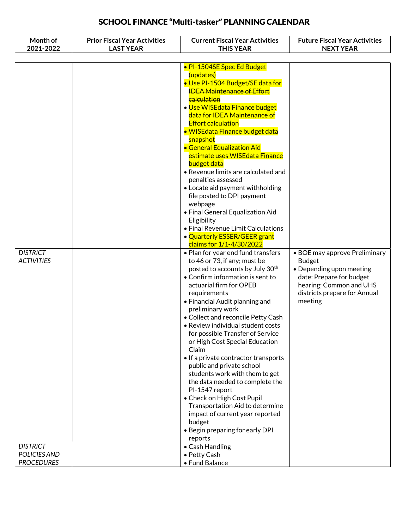| Month of<br>2021-2022 | <b>Prior Fiscal Year Activities</b><br><b>LAST YEAR</b> | <b>Current Fiscal Year Activities</b><br><b>THIS YEAR</b>         | <b>Future Fiscal Year Activities</b><br><b>NEXT YEAR</b> |
|-----------------------|---------------------------------------------------------|-------------------------------------------------------------------|----------------------------------------------------------|
|                       |                                                         |                                                                   |                                                          |
|                       |                                                         | · PI-1504SE Spec Ed Budget                                        |                                                          |
|                       |                                                         | (updates)                                                         |                                                          |
|                       |                                                         | · Use PI-1504 Budget/SE data for                                  |                                                          |
|                       |                                                         | <b>IDEA Maintenance of Effort</b>                                 |                                                          |
|                       |                                                         | <b>calculation</b>                                                |                                                          |
|                       |                                                         | · Use WISEdata Finance budget                                     |                                                          |
|                       |                                                         | data for IDEA Maintenance of                                      |                                                          |
|                       |                                                         | <b>Effort calculation</b>                                         |                                                          |
|                       |                                                         | • WISEdata Finance budget data                                    |                                                          |
|                       |                                                         | snapshot                                                          |                                                          |
|                       |                                                         | • General Equalization Aid                                        |                                                          |
|                       |                                                         | estimate uses WISE data Finance                                   |                                                          |
|                       |                                                         | budget data                                                       |                                                          |
|                       |                                                         | • Revenue limits are calculated and                               |                                                          |
|                       |                                                         | penalties assessed<br>• Locate aid payment withholding            |                                                          |
|                       |                                                         | file posted to DPI payment                                        |                                                          |
|                       |                                                         | webpage                                                           |                                                          |
|                       |                                                         | • Final General Equalization Aid                                  |                                                          |
|                       |                                                         | Eligibility                                                       |                                                          |
|                       |                                                         | • Final Revenue Limit Calculations                                |                                                          |
|                       |                                                         | • Quarterly ESSER/GEER grant                                      |                                                          |
|                       |                                                         | claims for 1/1-4/30/2022                                          |                                                          |
| <b>DISTRICT</b>       |                                                         | • Plan for year end fund transfers                                | • BOE may approve Preliminary                            |
| <b>ACTIVITIES</b>     |                                                         | to 46 or 73, if any; must be                                      | <b>Budget</b>                                            |
|                       |                                                         | posted to accounts by July 30th                                   | • Depending upon meeting                                 |
|                       |                                                         | • Confirm information is sent to<br>actuarial firm for OPEB       | date: Prepare for budget                                 |
|                       |                                                         | requirements                                                      | hearing; Common and UHS<br>districts prepare for Annual  |
|                       |                                                         | • Financial Audit planning and                                    | meeting                                                  |
|                       |                                                         | preliminary work                                                  |                                                          |
|                       |                                                         | • Collect and reconcile Petty Cash                                |                                                          |
|                       |                                                         | • Review individual student costs                                 |                                                          |
|                       |                                                         | for possible Transfer of Service                                  |                                                          |
|                       |                                                         | or High Cost Special Education                                    |                                                          |
|                       |                                                         | Claim                                                             |                                                          |
|                       |                                                         | • If a private contractor transports                              |                                                          |
|                       |                                                         | public and private school                                         |                                                          |
|                       |                                                         | students work with them to get<br>the data needed to complete the |                                                          |
|                       |                                                         | PI-1547 report                                                    |                                                          |
|                       |                                                         | • Check on High Cost Pupil                                        |                                                          |
|                       |                                                         | Transportation Aid to determine                                   |                                                          |
|                       |                                                         | impact of current year reported                                   |                                                          |
|                       |                                                         | budget                                                            |                                                          |
|                       |                                                         | • Begin preparing for early DPI                                   |                                                          |
|                       |                                                         | reports                                                           |                                                          |
| <b>DISTRICT</b>       |                                                         | • Cash Handling                                                   |                                                          |
| POLICIES AND          |                                                         | • Petty Cash                                                      |                                                          |
| <b>PROCEDURES</b>     |                                                         | • Fund Balance                                                    |                                                          |